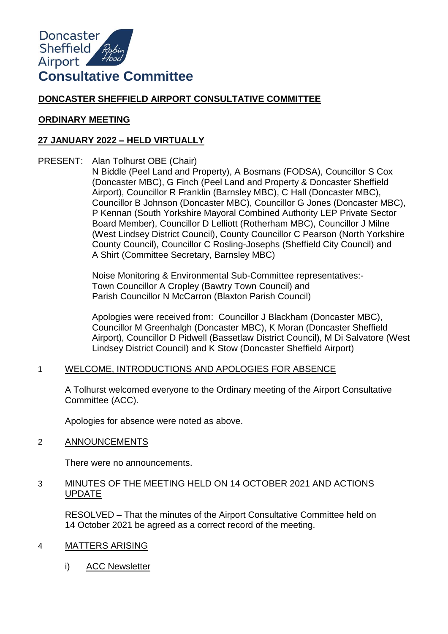

# **DONCASTER SHEFFIELD AIRPORT CONSULTATIVE COMMITTEE**

### **ORDINARY MEETING**

# **27 JANUARY 2022 – HELD VIRTUALLY**

PRESENT: Alan Tolhurst OBE (Chair)

N Biddle (Peel Land and Property), A Bosmans (FODSA), Councillor S Cox (Doncaster MBC), G Finch (Peel Land and Property & Doncaster Sheffield Airport), Councillor R Franklin (Barnsley MBC), C Hall (Doncaster MBC), Councillor B Johnson (Doncaster MBC), Councillor G Jones (Doncaster MBC), P Kennan (South Yorkshire Mayoral Combined Authority LEP Private Sector Board Member), Councillor D Lelliott (Rotherham MBC), Councillor J Milne (West Lindsey District Council), County Councillor C Pearson (North Yorkshire County Council), Councillor C Rosling-Josephs (Sheffield City Council) and A Shirt (Committee Secretary, Barnsley MBC)

Noise Monitoring & Environmental Sub-Committee representatives:- Town Councillor A Cropley (Bawtry Town Council) and Parish Councillor N McCarron (Blaxton Parish Council)

Apologies were received from: Councillor J Blackham (Doncaster MBC), Councillor M Greenhalgh (Doncaster MBC), K Moran (Doncaster Sheffield Airport), Councillor D Pidwell (Bassetlaw District Council), M Di Salvatore (West Lindsey District Council) and K Stow (Doncaster Sheffield Airport)

# 1 WELCOME, INTRODUCTIONS AND APOLOGIES FOR ABSENCE

A Tolhurst welcomed everyone to the Ordinary meeting of the Airport Consultative Committee (ACC).

Apologies for absence were noted as above.

2 ANNOUNCEMENTS

There were no announcements.

### 3 MINUTES OF THE MEETING HELD ON 14 OCTOBER 2021 AND ACTIONS UPDATE

RESOLVED – That the minutes of the Airport Consultative Committee held on 14 October 2021 be agreed as a correct record of the meeting.

# 4 MATTERS ARISING

i) ACC Newsletter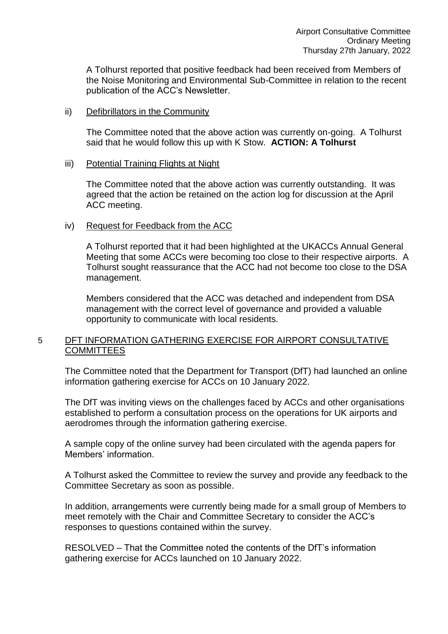A Tolhurst reported that positive feedback had been received from Members of the Noise Monitoring and Environmental Sub-Committee in relation to the recent publication of the ACC's Newsletter.

#### ii) Defibrillators in the Community

The Committee noted that the above action was currently on-going. A Tolhurst said that he would follow this up with K Stow. **ACTION: A Tolhurst** 

### iii) Potential Training Flights at Night

The Committee noted that the above action was currently outstanding. It was agreed that the action be retained on the action log for discussion at the April ACC meeting.

# iv) Request for Feedback from the ACC

A Tolhurst reported that it had been highlighted at the UKACCs Annual General Meeting that some ACCs were becoming too close to their respective airports. A Tolhurst sought reassurance that the ACC had not become too close to the DSA management.

Members considered that the ACC was detached and independent from DSA management with the correct level of governance and provided a valuable opportunity to communicate with local residents.

# 5 DFT INFORMATION GATHERING EXERCISE FOR AIRPORT CONSULTATIVE **COMMITTEES**

The Committee noted that the Department for Transport (DfT) had launched an online information gathering exercise for ACCs on 10 January 2022.

The DfT was inviting views on the challenges faced by ACCs and other organisations established to perform a consultation process on the operations for UK airports and aerodromes through the information gathering exercise.

A sample copy of the online survey had been circulated with the agenda papers for Members' information.

A Tolhurst asked the Committee to review the survey and provide any feedback to the Committee Secretary as soon as possible.

In addition, arrangements were currently being made for a small group of Members to meet remotely with the Chair and Committee Secretary to consider the ACC's responses to questions contained within the survey.

RESOLVED – That the Committee noted the contents of the DfT's information gathering exercise for ACCs launched on 10 January 2022.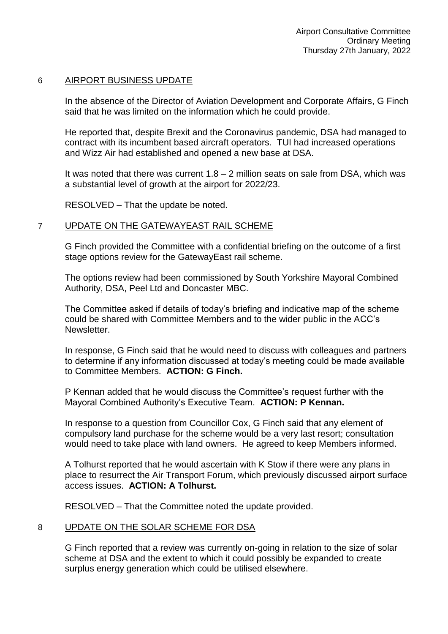#### 6 AIRPORT BUSINESS UPDATE

In the absence of the Director of Aviation Development and Corporate Affairs, G Finch said that he was limited on the information which he could provide.

He reported that, despite Brexit and the Coronavirus pandemic, DSA had managed to contract with its incumbent based aircraft operators. TUI had increased operations and Wizz Air had established and opened a new base at DSA.

It was noted that there was current  $1.8 - 2$  million seats on sale from DSA, which was a substantial level of growth at the airport for 2022/23.

RESOLVED – That the update be noted.

### 7 UPDATE ON THE GATEWAYEAST RAIL SCHEME

G Finch provided the Committee with a confidential briefing on the outcome of a first stage options review for the GatewayEast rail scheme.

The options review had been commissioned by South Yorkshire Mayoral Combined Authority, DSA, Peel Ltd and Doncaster MBC.

The Committee asked if details of today's briefing and indicative map of the scheme could be shared with Committee Members and to the wider public in the ACC's Newsletter.

In response, G Finch said that he would need to discuss with colleagues and partners to determine if any information discussed at today's meeting could be made available to Committee Members. **ACTION: G Finch.** 

P Kennan added that he would discuss the Committee's request further with the Mayoral Combined Authority's Executive Team. **ACTION: P Kennan.** 

In response to a question from Councillor Cox, G Finch said that any element of compulsory land purchase for the scheme would be a very last resort; consultation would need to take place with land owners. He agreed to keep Members informed.

A Tolhurst reported that he would ascertain with K Stow if there were any plans in place to resurrect the Air Transport Forum, which previously discussed airport surface access issues. **ACTION: A Tolhurst.** 

RESOLVED – That the Committee noted the update provided.

# 8 UPDATE ON THE SOLAR SCHEME FOR DSA

G Finch reported that a review was currently on-going in relation to the size of solar scheme at DSA and the extent to which it could possibly be expanded to create surplus energy generation which could be utilised elsewhere.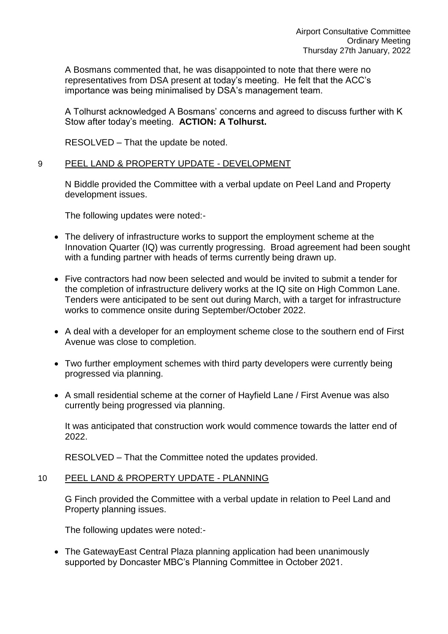A Bosmans commented that, he was disappointed to note that there were no representatives from DSA present at today's meeting. He felt that the ACC's importance was being minimalised by DSA's management team.

A Tolhurst acknowledged A Bosmans' concerns and agreed to discuss further with K Stow after today's meeting. **ACTION: A Tolhurst.** 

RESOLVED – That the update be noted.

### 9 PEEL LAND & PROPERTY UPDATE - DEVELOPMENT

N Biddle provided the Committee with a verbal update on Peel Land and Property development issues.

The following updates were noted:-

- The delivery of infrastructure works to support the employment scheme at the Innovation Quarter (IQ) was currently progressing. Broad agreement had been sought with a funding partner with heads of terms currently being drawn up.
- Five contractors had now been selected and would be invited to submit a tender for the completion of infrastructure delivery works at the IQ site on High Common Lane. Tenders were anticipated to be sent out during March, with a target for infrastructure works to commence onsite during September/October 2022.
- A deal with a developer for an employment scheme close to the southern end of First Avenue was close to completion.
- Two further employment schemes with third party developers were currently being progressed via planning.
- A small residential scheme at the corner of Hayfield Lane / First Avenue was also currently being progressed via planning.

It was anticipated that construction work would commence towards the latter end of 2022.

RESOLVED – That the Committee noted the updates provided.

# 10 PEEL LAND & PROPERTY UPDATE - PLANNING

G Finch provided the Committee with a verbal update in relation to Peel Land and Property planning issues.

The following updates were noted:-

 The GatewayEast Central Plaza planning application had been unanimously supported by Doncaster MBC's Planning Committee in October 2021.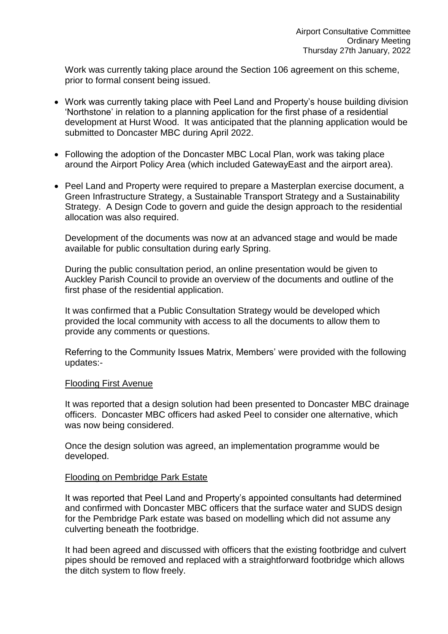Work was currently taking place around the Section 106 agreement on this scheme, prior to formal consent being issued.

- Work was currently taking place with Peel Land and Property's house building division 'Northstone' in relation to a planning application for the first phase of a residential development at Hurst Wood. It was anticipated that the planning application would be submitted to Doncaster MBC during April 2022.
- Following the adoption of the Doncaster MBC Local Plan, work was taking place around the Airport Policy Area (which included GatewayEast and the airport area).
- Peel Land and Property were required to prepare a Masterplan exercise document, a Green Infrastructure Strategy, a Sustainable Transport Strategy and a Sustainability Strategy. A Design Code to govern and guide the design approach to the residential allocation was also required.

Development of the documents was now at an advanced stage and would be made available for public consultation during early Spring.

During the public consultation period, an online presentation would be given to Auckley Parish Council to provide an overview of the documents and outline of the first phase of the residential application.

It was confirmed that a Public Consultation Strategy would be developed which provided the local community with access to all the documents to allow them to provide any comments or questions.

Referring to the Community Issues Matrix, Members' were provided with the following updates:-

#### Flooding First Avenue

It was reported that a design solution had been presented to Doncaster MBC drainage officers. Doncaster MBC officers had asked Peel to consider one alternative, which was now being considered.

Once the design solution was agreed, an implementation programme would be developed.

#### Flooding on Pembridge Park Estate

It was reported that Peel Land and Property's appointed consultants had determined and confirmed with Doncaster MBC officers that the surface water and SUDS design for the Pembridge Park estate was based on modelling which did not assume any culverting beneath the footbridge.

It had been agreed and discussed with officers that the existing footbridge and culvert pipes should be removed and replaced with a straightforward footbridge which allows the ditch system to flow freely.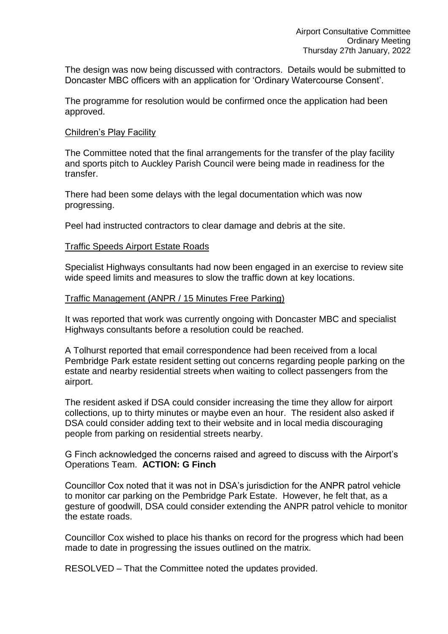The design was now being discussed with contractors. Details would be submitted to Doncaster MBC officers with an application for 'Ordinary Watercourse Consent'.

The programme for resolution would be confirmed once the application had been approved.

#### Children's Play Facility

The Committee noted that the final arrangements for the transfer of the play facility and sports pitch to Auckley Parish Council were being made in readiness for the transfer.

There had been some delays with the legal documentation which was now progressing.

Peel had instructed contractors to clear damage and debris at the site.

### Traffic Speeds Airport Estate Roads

Specialist Highways consultants had now been engaged in an exercise to review site wide speed limits and measures to slow the traffic down at key locations.

#### Traffic Management (ANPR / 15 Minutes Free Parking)

It was reported that work was currently ongoing with Doncaster MBC and specialist Highways consultants before a resolution could be reached.

A Tolhurst reported that email correspondence had been received from a local Pembridge Park estate resident setting out concerns regarding people parking on the estate and nearby residential streets when waiting to collect passengers from the airport.

The resident asked if DSA could consider increasing the time they allow for airport collections, up to thirty minutes or maybe even an hour. The resident also asked if DSA could consider adding text to their website and in local media discouraging people from parking on residential streets nearby.

G Finch acknowledged the concerns raised and agreed to discuss with the Airport's Operations Team. **ACTION: G Finch** 

Councillor Cox noted that it was not in DSA's jurisdiction for the ANPR patrol vehicle to monitor car parking on the Pembridge Park Estate. However, he felt that, as a gesture of goodwill, DSA could consider extending the ANPR patrol vehicle to monitor the estate roads.

Councillor Cox wished to place his thanks on record for the progress which had been made to date in progressing the issues outlined on the matrix.

RESOLVED – That the Committee noted the updates provided.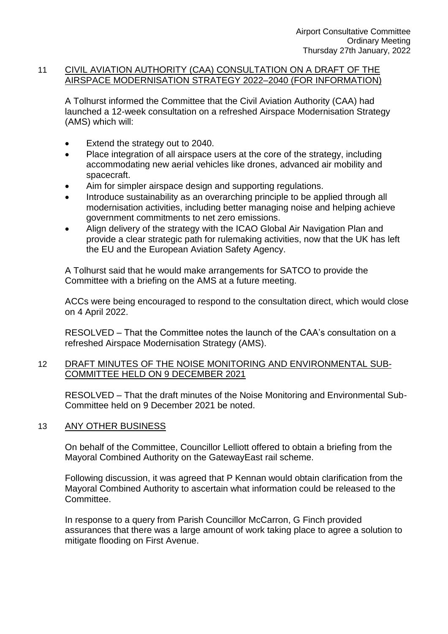### 11 CIVIL AVIATION AUTHORITY (CAA) CONSULTATION ON A DRAFT OF THE AIRSPACE MODERNISATION STRATEGY 2022–2040 (FOR INFORMATION)

A Tolhurst informed the Committee that the Civil Aviation Authority (CAA) had launched a 12-week consultation on a refreshed Airspace Modernisation Strategy (AMS) which will:

- Extend the strategy out to 2040.
- Place integration of all airspace users at the core of the strategy, including accommodating new aerial vehicles like drones, advanced air mobility and spacecraft.
- Aim for simpler airspace design and supporting regulations.
- Introduce sustainability as an overarching principle to be applied through all modernisation activities, including better managing noise and helping achieve government commitments to net zero emissions.
- Align delivery of the strategy with the ICAO Global Air Navigation Plan and provide a clear strategic path for rulemaking activities, now that the UK has left the EU and the European Aviation Safety Agency.

A Tolhurst said that he would make arrangements for SATCO to provide the Committee with a briefing on the AMS at a future meeting.

ACCs were being encouraged to respond to the consultation direct, which would close on 4 April 2022.

RESOLVED – That the Committee notes the launch of the CAA's consultation on a refreshed Airspace Modernisation Strategy (AMS).

# 12 DRAFT MINUTES OF THE NOISE MONITORING AND ENVIRONMENTAL SUB-COMMITTEE HELD ON 9 DECEMBER 2021

RESOLVED – That the draft minutes of the Noise Monitoring and Environmental Sub-Committee held on 9 December 2021 be noted.

# 13 ANY OTHER BUSINESS

On behalf of the Committee, Councillor Lelliott offered to obtain a briefing from the Mayoral Combined Authority on the GatewayEast rail scheme.

Following discussion, it was agreed that P Kennan would obtain clarification from the Mayoral Combined Authority to ascertain what information could be released to the Committee.

In response to a query from Parish Councillor McCarron, G Finch provided assurances that there was a large amount of work taking place to agree a solution to mitigate flooding on First Avenue.